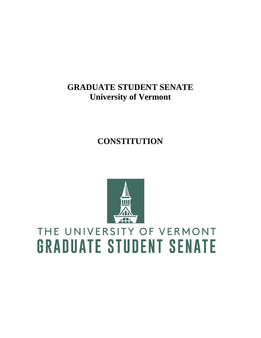# **GRADUATE STUDENT SENATE University of Vermont**

# **CONSTITUTION**



# THE UNIVERSITY OF VERMONT **GRADUATE STUDENT SENATE**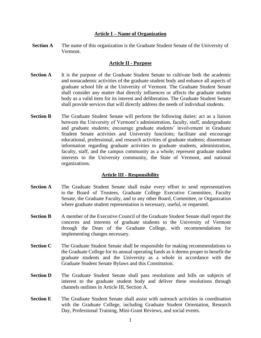#### **Article I – Name of Organization**

**Section A** The name of this organization is the Graduate Student Senate of the University of Vermont.

# **Article II - Purpose**

- **Section A** It is the purpose of the Graduate Student Senate to cultivate both the academic and nonacademic activities of the graduate student body and enhance all aspects of graduate school life at the University of Vermont. The Graduate Student Senate shall consider any matter that directly influences or affects the graduate student body as a valid item for its interest and deliberation. The Graduate Student Senate shall provide services that will directly address the needs of individual students.
- **Section B** The Graduate Student Senate will perform the following duties: act as a liaison between the University of Vermont's administration, faculty, staff, undergraduate and graduate students; encourage graduate students' involvement in Graduate Student Senate activities and University functions; facilitate and encourage educational, professional, and research activities of graduate students; disseminate information regarding graduate activities to graduate students, administration, faculty, staff, and the campus community as a whole; represent graduate student interests to the University community, the State of Vermont, and national organizations.

# **Article III - Responsibility**

- **Section A** The Graduate Student Senate shall make every effort to send representatives to the Board of Trustees, Graduate College Executive Committee, Faculty Senate, the Graduate Faculty, and to any other Board, Committee, or Organization where graduate student representation is necessary, useful, or requested.
- **Section B** A member of the Executive Council of the Graduate Student Senate shall report the concerns and interests of graduate students to the University of Vermont through the Dean of the Graduate College, with recommendations for implementing changes necessary.
- **Section C** The Graduate Student Senate shall be responsible for making recommendations to the Graduate College for its annual operating funds as it deems proper to benefit the graduate students and the University as a whole in accordance with the Graduate Student Senate Bylaws and this Constitution.
- **Section D** The Graduate Student Senate shall pass resolutions and bills on subjects of interest to the graduate student body and deliver these resolutions through channels outlines in Article III, Section A.
- **Section E** The Graduate Student Senate shall assist with outreach activities in coordination with the Graduate College, including Graduate Student Orientation, Research Day, Professional Training, Mini-Grant Reviews, and social events.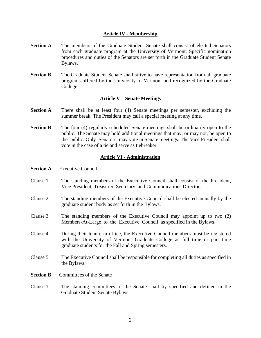# **Article IV - Membership**

- **Section A** The members of the Graduate Student Senate shall consist of elected Senators from each graduate program at the University of Vermont. Specific nomination procedures and duties of the Senators are set forth in the Graduate Student Senate Bylaws.
- **Section B** The Graduate Student Senate shall strive to have representation from all graduate programs offered by the University of Vermont and recognized by the Graduate College.

#### **Article V – Senate Meetings**

- **Section A** There shall be at least four (4) Senate meetings per semester, excluding the summer break. The President may call a special meeting at any time.
- **Section B** The four (4) regularly scheduled Senate meetings shall be ordinarily open to the public. The Senate may hold additional meetings that may, or may not, be open to the public. Only Senators may vote in Senate meetings. The Vice President shall vote in the case of a tie and serve as tiebreaker.

#### **Article VI - Administration**

- **Section A** Executive Council
- Clause 1 The standing members of the Executive Council shall consist of the President, Vice President, Treasurer, Secretary, and Communications Director.
- Clause 2 The standing members of the Executive Council shall be elected annually by the graduate student body as set forth in the Bylaws.
- Clause 3 The standing members of the Executive Council may appoint up to two (2) Members-At-Large to the Executive Council as specified in the Bylaws.
- Clause 4 During their tenure in office, the Executive Council members must be registered with the University of Vermont Graduate College as full time or part time graduate students for the Fall and Spring semesters.
- Clause 5 The Executive Council shall be responsible for completing all duties as specified in the Bylaws.
- **Section B** Committees of the Senate
- Clause 1 The standing committees of the Senate shall by specified and defined in the Graduate Student Senate Bylaws.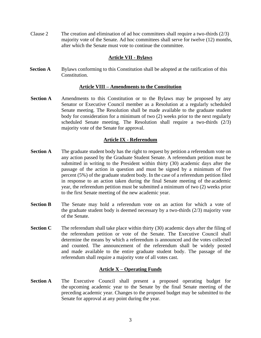Clause 2 The creation and elimination of ad hoc committees shall require a two-thirds (2/3) majority vote of the Senate. Ad hoc committees shall serve for twelve (12) months, after which the Senate must vote to continue the committee.

# **Article VII - Bylaws**

**Section A** Bylaws conforming to this Constitution shall be adopted at the ratification of this Constitution.

# **Article VIII – Amendments to the Constitution**

**Section A** Amendments to this Constitution or to the Bylaws may be proposed by any Senator or Executive Council member as a Resolution at a regularly scheduled Senate meeting. The Resolution shall be made available to the graduate student body for consideration for a minimum of two (2) weeks prior to the next regularly scheduled Senate meeting. The Resolution shall require a two-thirds (2/3) majority vote of the Senate for approval.

# **Article IX - Referendum**

- **Section A** The graduate student body has the right to request by petition a referendum vote on any action passed by the Graduate Student Senate. A referendum petition must be submitted in writing to the President within thirty (30) academic days after the passage of the action in question and must be signed by a minimum of five percent (5%) of the graduate student body. In the case of a referendum petition filed in response to an action taken during the final Senate meeting of the academic year, the referendum petition must be submitted a minimum of two (2) weeks prior to the first Senate meeting of the new academic year.
- **Section B** The Senate may hold a referendum vote on an action for which a vote of the graduate student body is deemed necessary by a two-thirds (2/3) majority vote of the Senate.
- **Section C** The referendum shall take place within thirty (30) academic days after the filing of the referendum petition or vote of the Senate. The Executive Council shall determine the means by which a referendum is announced and the votes collected and counted. The announcement of the referendum shall be widely posted and made available to the entire graduate student body. The passage of the referendum shall require a majority vote of all votes cast.

# **Article X – Operating Funds**

**Section A** The Executive Council shall present a proposed operating budget for the upcoming academic year to the Senate by the final Senate meeting of the preceding academic year. Changes to the proposed budget may be submitted to the Senate for approval at any point during the year.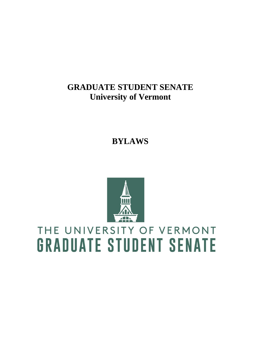# **GRADUATE STUDENT SENATE University of Vermont**

**BYLAWS**



# THE UNIVERSITY OF VERMONT **GRADUATE STUDENT SENATE**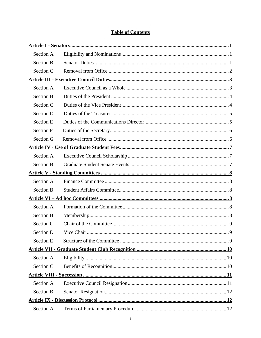# **Table of Contents**

| Section A        |  |  |  |  |
|------------------|--|--|--|--|
| <b>Section B</b> |  |  |  |  |
| Section C        |  |  |  |  |
|                  |  |  |  |  |
| Section A        |  |  |  |  |
| <b>Section B</b> |  |  |  |  |
| Section C        |  |  |  |  |
| <b>Section D</b> |  |  |  |  |
| <b>Section E</b> |  |  |  |  |
| <b>Section F</b> |  |  |  |  |
| Section G        |  |  |  |  |
|                  |  |  |  |  |
| Section A        |  |  |  |  |
| <b>Section B</b> |  |  |  |  |
|                  |  |  |  |  |
| Section A        |  |  |  |  |
| <b>Section B</b> |  |  |  |  |
|                  |  |  |  |  |
| Section A        |  |  |  |  |
| <b>Section B</b> |  |  |  |  |
| Section C        |  |  |  |  |
| Section D        |  |  |  |  |
| <b>Section E</b> |  |  |  |  |
|                  |  |  |  |  |
| Section A        |  |  |  |  |
| Section C        |  |  |  |  |
|                  |  |  |  |  |
| Section A        |  |  |  |  |
| <b>Section B</b> |  |  |  |  |
|                  |  |  |  |  |
| Section A        |  |  |  |  |
|                  |  |  |  |  |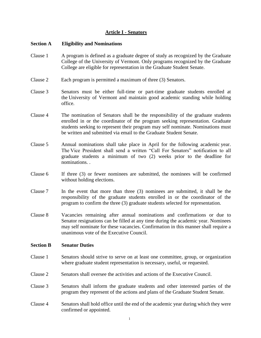# **Article I - Senators**

# <span id="page-7-1"></span><span id="page-7-0"></span>**Section A Eligibility and Nominations**

- Clause 1 A program is defined as a graduate degree of study as recognized by the Graduate College of the University of Vermont. Only programs recognized by the Graduate College are eligible for representation in the Graduate Student Senate.
- Clause 2 Each program is permitted a maximum of three (3) Senators.
- Clause 3 Senators must be either full-time or part-time graduate students enrolled at the University of Vermont and maintain good academic standing while holding office.
- Clause 4 The nomination of Senators shall be the responsibility of the graduate students enrolled in or the coordinator of the program seeking representation. Graduate students seeking to represent their program may self nominate. Nominations must be written and submitted via email to the Graduate Student Senate.
- Clause 5 Annual nominations shall take place in April for the following academic year. The Vice President shall send a written "Call For Senators" notification to all graduate students a minimum of two (2) weeks prior to the deadline for nominations. .
- Clause 6 If three (3) or fewer nominees are submitted, the nominees will be confirmed without holding elections.
- Clause 7 In the event that more than three (3) nominees are submitted, it shall be the responsibility of the graduate students enrolled in or the coordinator of the program to confirm the three (3) graduate students selected for representation.
- Clause 8 Vacancies remaining after annual nominations and confirmations or due to Senator resignations can be filled at any time during the academic year. Nominees may self nominate for these vacancies. Confirmation in this manner shall require a unanimous vote of the Executive Council.

#### <span id="page-7-2"></span>**Section B Senator Duties**

- Clause 1 Senators should strive to serve on at least one committee, group, or organization where graduate student representation is necessary, useful, or requested.
- Clause 2 Senators shall oversee the activities and actions of the Executive Council.
- Clause 3 Senators shall inform the graduate students and other interested parties of the program they represent of the actions and plans of the Graduate Student Senate.
- Clause 4 Senators shall hold office until the end of the academic year during which they were confirmed or appointed.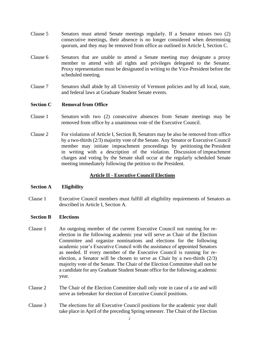- Clause 5 Senators must attend Senate meetings regularly. If a Senator misses two (2) consecutive meetings, their absence is no longer considered when determining quorum, and they may be removed from office as outlined in Article I, Section C.
- Clause 6 Senators that are unable to attend a Senate meeting may designate a proxy member to attend with all rights and privileges delegated to the Senator. Proxy representation must be designated in writing to the Vice-President before the scheduled meeting.
- Clause 7 Senators shall abide by all University of Vermont policies and by all local, state, and federal laws at Graduate Student Senate events.

# <span id="page-8-0"></span>**Section C** Removal from Office

- Clause 1 Senators with two (2) consecutive absences from Senate meetings may be removed from office by a unanimous vote of the Executive Council.
- Clause 2 For violations of Article I, Section B, Senators may be also be removed from office by a two-thirds (2/3) majority vote of the Senate. Any Senator or Executive Council member may initiate impeachment proceedings by petitioning the President in writing with a description of the violation. Discussion of impeachment charges and voting by the Senate shall occur at the regularly scheduled Senate meeting immediately following the petition to the President.

# **Article II - Executive Council Elections**

# **Section A Eligibility**

Clause 1 Executive Council members must fulfill all eligibility requirements of Senators as described in Article I, Section A.

# **Section B Elections**

- Clause 1 An outgoing member of the current Executive Council not running for reelection in the following academic year will serve as Chair of the Election Committee and organize nominations and elections for the following academic year's Executive Council with the assistance of appointed Senators as needed. If every member of the Executive Council is running for reelection, a Senator will be chosen to serve as Chair by a two-thirds (2/3) majority vote of the Senate. The Chair of the Election Committee shall not be a candidate for any Graduate Student Senate office for the following academic year.
- Clause 2 The Chair of the Election Committee shall only vote in case of a tie and will serve as tiebreaker for election of Executive Council positions.
- Clause 3 The elections for all Executive Council positions for the academic year shall take place in April of the preceding Spring semester. The Chair of the Election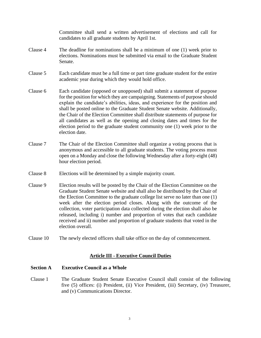Committee shall send a written advertisement of elections and call for candidates to all graduate students by April 1st.

- Clause 4 The deadline for nominations shall be a minimum of one (1) week prior to elections. Nominations must be submitted via email to the Graduate Student Senate.
- Clause 5 Each candidate must be a full time or part time graduate student for the entire academic year during which they would hold office.
- Clause 6 Each candidate (opposed or unopposed) shall submit a statement of purpose for the position for which they are campaigning. Statements of purpose should explain the candidate's abilities, ideas, and experience for the position and shall be posted online to the Graduate Student Senate website. Additionally, the Chair of the Election Committee shall distribute statements of purpose for all candidates as well as the opening and closing dates and times for the election period to the graduate student community one (1) week prior to the election date.
- Clause 7 The Chair of the Election Committee shall organize a voting process that is anonymous and accessible to all graduate students. The voting process must open on a Monday and close the following Wednesday after a forty-eight (48) hour election period.
- Clause 8 Elections will be determined by a simple majority count.
- Clause 9 Election results will be posted by the Chair of the Election Committee on the Graduate Student Senate website and shall also be distributed by the Chair of the Election Committee to the graduate college list serve no later than one (1) week after the election period closes. Along with the outcome of the collection, voter participation data collected during the election shall also be released, including i) number and proportion of votes that each candidate received and ii) number and proportion of graduate students that voted in the election overall.
- Clause 10 The newly elected officers shall take office on the day of commencement.

# **Article III - Executive Council Duties**

# <span id="page-9-1"></span><span id="page-9-0"></span>**Section A Executive Council as a Whole**

Clause 1 The Graduate Student Senate Executive Council shall consist of the following five (5) offices: (i) President, (ii) Vice President, (iii) Secretary, (iv) Treasurer, and (v) Communications Director.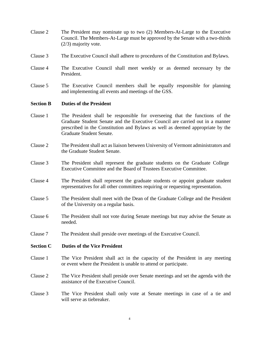- Clause 2 The President may nominate up to two (2) Members-At-Large to the Executive Council. The Members-At-Large must be approved by the Senate with a two-thirds (2/3) majority vote.
- Clause 3 The Executive Council shall adhere to procedures of the Constitution and Bylaws.
- Clause 4 The Executive Council shall meet weekly or as deemed necessary by the President.
- Clause 5 The Executive Council members shall be equally responsible for planning and implementing all events and meetings of the GSS.

#### <span id="page-10-0"></span>**Section B Duties of the President**

- Clause 1 The President shall be responsible for overseeing that the functions of the Graduate Student Senate and the Executive Council are carried out in a manner prescribed in the Constitution and Bylaws as well as deemed appropriate by the Graduate Student Senate.
- Clause 2 The President shall act as liaison between University of Vermont administrators and the Graduate Student Senate.
- Clause 3 The President shall represent the graduate students on the Graduate College Executive Committee and the Board of Trustees Executive Committee.
- Clause 4 The President shall represent the graduate students or appoint graduate student representatives for all other committees requiring or requesting representation.
- Clause 5 The President shall meet with the Dean of the Graduate College and the President of the University on a regular basis.
- Clause 6 The President shall not vote during Senate meetings but may advise the Senate as needed.
- Clause 7 The President shall preside over meetings of the Executive Council.

#### <span id="page-10-1"></span>**Section C Duties of the Vice President**

- Clause 1 The Vice President shall act in the capacity of the President in any meeting or event where the President is unable to attend or participate.
- Clause 2 The Vice President shall preside over Senate meetings and set the agenda with the assistance of the Executive Council.
- Clause 3 The Vice President shall only vote at Senate meetings in case of a tie and will serve as tiebreaker.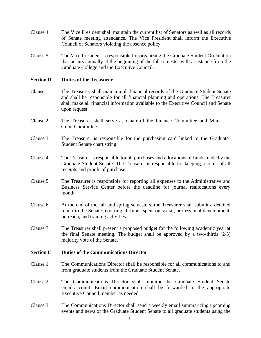- Clause 4 The Vice President shall maintain the current list of Senators as well as all records of Senate meeting attendance. The Vice President shall inform the Executive Council of Senators violating the absence policy.
- Clause 5 The Vice President is responsible for organizing the Graduate Student Orientation that occurs annually at the beginning of the fall semester with assistance from the Graduate College and the Executive Council.

#### <span id="page-11-0"></span>**Section D** Duties of the Treasurer

- Clause 1 The Treasurer shall maintain all financial records of the Graduate Student Senate and shall be responsible for all financial planning and operations. The Treasurer shall make all financial information available to the Executive Council and Senate upon request.
- Clause 2 The Treasurer shall serve as Chair of the Finance Committee and Mini-Grant Committee.
- Clause 3 The Treasurer is responsible for the purchasing card linked to the Graduate Student Senate chart string.
- Clause 4 The Treasurer is responsible for all purchases and allocations of funds made by the Graduate Student Senate. The Treasurer is responsible for keeping records of all receipts and proofs of purchase.
- Clause 5 The Treasurer is responsible for reporting all expenses to the Administrative and Business Service Center before the deadline for journal reallocations every month.
- Clause 6 At the end of the fall and spring semesters, the Treasurer shall submit a detailed report to the Senate reporting all funds spent on social, professional development, outreach, and training activities.
- Clause 7 The Treasurer shall present a proposed budget for the following academic year at the final Senate meeting. The budget shall be approved by a two-thirds (2/3) majority vote of the Senate.

#### <span id="page-11-1"></span>**Section E Duties of the Communications Director**

- Clause 1 The Communications Director shall be responsible for all communications to and from graduate students from the Graduate Student Senate.
- Clause 2 The Communications Director shall monitor the Graduate Student Senate email account. Email communication shall be forwarded to the appropriate Executive Council member as needed.
- Clause 3 The Communications Director shall send a weekly email summarizing upcoming events and news of the Graduate Student Senate to all graduate students using the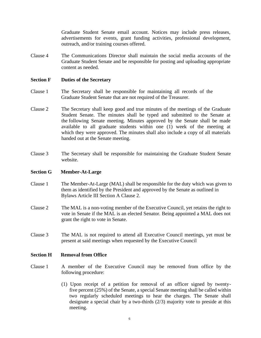Graduate Student Senate email account. Notices may include press releases, advertisements for events, grant funding activities, professional development, outreach, and/or training courses offered.

Clause 4 The Communications Director shall maintain the social media accounts of the Graduate Student Senate and be responsible for posting and uploading appropriate content as needed.

#### <span id="page-12-0"></span>**Section F Duties of the Secretary**

- Clause 1 The Secretary shall be responsible for maintaining all records of the Graduate Student Senate that are not required of the Treasurer.
- Clause 2 The Secretary shall keep good and true minutes of the meetings of the Graduate Student Senate. The minutes shall be typed and submitted to the Senate at the following Senate meeting. Minutes approved by the Senate shall be made available to all graduate students within one (1) week of the meeting at which they were approved. The minutes shall also include a copy of all materials handed out at the Senate meeting.
- Clause 3 The Secretary shall be responsible for maintaining the Graduate Student Senate website.

# <span id="page-12-1"></span>**Section G Member-At-Large**

- Clause 1 The Member-At-Large (MAL) shall be responsible for the duty which was given to them as identified by the President and approved by the Senate as outlined in Bylaws Article III Section A Clause 2.
- Clause 2 The MAL is a non-voting member of the Executive Council, yet retains the right to vote in Senate if the MAL is an elected Senator. Being appointed a MAL does not grant the right to vote in Senate.
- Clause 3 The MAL is not required to attend all Executive Council meetings, yet must be present at said meetings when requested by the Executive Council

#### **Section H Removal from Office**

- Clause 1 A member of the Executive Council may be removed from office by the following procedure:
	- (1) Upon receipt of a petition for removal of an officer signed by twentyfive percent (25%) of the Senate, a special Senate meeting shall be called within two regularly scheduled meetings to hear the charges. The Senate shall designate a special chair by a two-thirds (2/3) majority vote to preside at this meeting.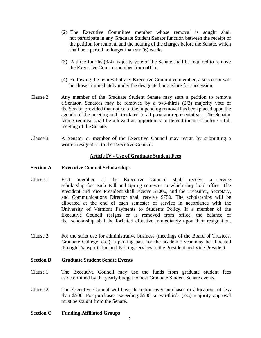- (2) The Executive Committee member whose removal is sought shall not participate in any Graduate Student Senate function between the receipt of the petition for removal and the hearing of the charges before the Senate, which shall be a period no longer than six (6) weeks.
- (3) A three-fourths (3/4) majority vote of the Senate shall be required to remove the Executive Council member from office.
- (4) Following the removal of any Executive Committee member, a successor will be chosen immediately under the designated procedure for succession.
- Clause 2 Any member of the Graduate Student Senate may start a petition to remove a Senator. Senators may be removed by a two-thirds (2/3) majority vote of the Senate, provided that notice of the impending removal has been placed upon the agenda of the meeting and circulated to all program representatives. The Senator facing removal shall be allowed an opportunity to defend themself before a full meeting of the Senate.
- Clause 3 A Senator or member of the Executive Council may resign by submitting a written resignation to the Executive Council.

# **Article IV - Use of Graduate Student Fees**

# <span id="page-13-1"></span><span id="page-13-0"></span>**Section A Executive Council Scholarships**

- Clause 1 Each member of the Executive Council shall receive a service scholarship for each Fall and Spring semester in which they hold office. The President and Vice President shall receive \$1000, and the Treasurer, Secretary, and Communications Director shall receive \$750. The scholarships will be allocated at the end of each semester of service in accordance with the University of Vermont Payments to Students Policy. If a member of the Executive Council resigns or is removed from office, the balance of the scholarship shall be forfeited effective immediately upon their resignation.
- Clause 2 For the strict use for administrative business (meetings of the Board of Trustees, Graduate College, etc.), a parking pass for the academic year may be allocated through Transportation and Parking services to the President and Vice President.

# <span id="page-13-2"></span>**Section B Graduate Student Senate Events**

- Clause 1 The Executive Council may use the funds from graduate student fees as determined by the yearly budget to host Graduate Student Senate events.
- Clause 2 The Executive Council will have discretion over purchases or allocations of less than \$500. For purchases exceeding \$500, a two-thirds (2/3) majority approval must be sought from the Senate.
- **Section C Funding Affiliated Groups**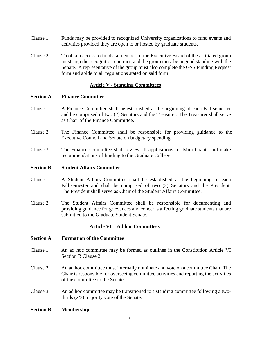- Clause 1 Funds may be provided to recognized University organizations to fund events and activities provided they are open to or hosted by graduate students.
- Clause 2 To obtain access to funds, a member of the Executive Board of the affiliated group must sign the recognition contract, and the group must be in good standing with the Senate. A representative of the group must also complete the GSS Funding Request form and abide to all regulations stated on said form.

# **Article V - Standing Committees**

#### <span id="page-14-1"></span><span id="page-14-0"></span>**Section A Finance Committee**

- Clause 1 A Finance Committee shall be established at the beginning of each Fall semester and be comprised of two (2) Senators and the Treasurer. The Treasurer shall serve as Chair of the Finance Committee.
- Clause 2 The Finance Committee shall be responsible for providing guidance to the Executive Council and Senate on budgetary spending.
- Clause 3 The Finance Committee shall review all applications for Mini Grants and make recommendations of funding to the Graduate College.

#### <span id="page-14-2"></span>**Section B Student Affairs Committee**

- Clause 1 A Student Affairs Committee shall be established at the beginning of each Fall semester and shall be comprised of two (2) Senators and the President. The President shall serve as Chair of the Student Affairs Committee.
- Clause 2 The Student Affairs Committee shall be responsible for documenting and providing guidance for grievances and concerns affecting graduate students that are submitted to the Graduate Student Senate.

# **Article VI – Ad hoc Committees**

- <span id="page-14-4"></span><span id="page-14-3"></span>**Section A Formation of the Committee**
- Clause 1 An ad hoc committee may be formed as outlines in the Constitution Article VI Section B Clause 2.
- Clause 2 An ad hoc committee must internally nominate and vote on a committee Chair. The Chair is responsible for overseeing committee activities and reporting the activities of the committee to the Senate.
- Clause 3 An ad hoc committee may be transitioned to a standing committee following a twothirds (2/3) majority vote of the Senate.
- <span id="page-14-5"></span>**Section B Membership**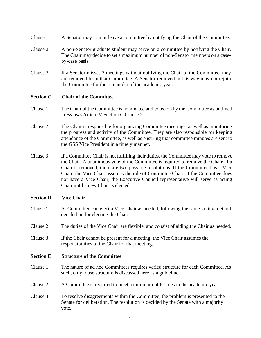- Clause 1 A Senator may join or leave a committee by notifying the Chair of the Committee.
- Clause 2 A non-Senator graduate student may serve on a committee by notifying the Chair. The Chair may decide to set a maximum number of non-Senator members on a caseby-case basis.
- Clause 3 If a Senator misses 3 meetings without notifying the Chair of the Committee, they are removed from that Committee. A Senator removed in this way may not rejoin the Committee for the remainder of the academic year.

# <span id="page-15-0"></span>**Section C Chair of the Committee**

- Clause 1 The Chair of the Committee is nominated and voted on by the Committee as outlined in Bylaws Article V Section C Clause 2.
- Clause 2 The Chair is responsible for organizing Committee meetings, as well as monitoring the progress and activity of the Committee. They are also responsible for keeping attendance of the Committee, as well as ensuring that committee minutes are sent to the GSS Vice President in a timely manner.
- Clause 3 If a Committee Chair is not fulfilling their duties, the Committee may vote to remove the Chair. A unanimous vote of the Committee is required to remove the Chair. If a Chair is removed, there are two possible resolutions. If the Committee has a Vice Chair, the Vice Chair assumes the role of Committee Chair. If the Committee does not have a Vice Chair, the Executive Council representative will serve as acting Chair until a new Chair is elected.

# <span id="page-15-1"></span>**Section D Vice Chair**

- Clause 1 A Committee can elect a Vice Chair as needed, following the same voting method decided on for electing the Chair.
- Clause 2 The duties of the Vice Chair are flexible, and consist of aiding the Chair as needed.
- Clause 3 If the Chair cannot be present for a meeting, the Vice Chair assumes the responsibilities of the Chair for that meeting.

# <span id="page-15-2"></span>**Section E Structure of the Committee**

- Clause 1 The nature of ad hoc Committees requires varied structure for each Committee. As such, only loose structure is discussed here as a guideline.
- Clause 2 A Committee is required to meet a minimum of 6 times in the academic year.
- Clause 3 To resolve disagreements within the Committee, the problem is presented to the Senate for deliberation. The resolution is decided by the Senate with a majority vote.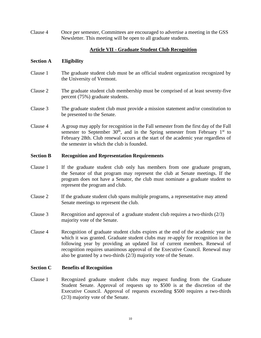Clause 4 Once per semester, Committees are encouraged to advertise a meeting in the GSS Newsletter. This meeting will be open to all graduate students.

# **Article VII - Graduate Student Club Recognition**

#### <span id="page-16-1"></span><span id="page-16-0"></span>**Section A Eligibility**

- Clause 1 The graduate student club must be an official student organization recognized by the University of Vermont.
- Clause 2 The graduate student club membership must be comprised of at least seventy-five percent (75%) graduate students.
- Clause 3 The graduate student club must provide a mission statement and/or constitution to be presented to the Senate.
- Clause 4 A group may apply for recognition in the Fall semester from the first day of the Fall semester to September  $30<sup>th</sup>$ , and in the Spring semester from February 1<sup>st</sup> to February 28th. Club renewal occurs at the start of the academic year regardless of the semester in which the club is founded.

#### **Section B Recognition and Representation Requirements**

- Clause 1 If the graduate student club only has members from one graduate program, the Senator of that program may represent the club at Senate meetings. If the program does not have a Senator, the club must nominate a graduate student to represent the program and club.
- Clause 2 If the graduate student club spans multiple programs, a representative may attend Senate meetings to represent the club.
- Clause 3 Recognition and approval of a graduate student club requires a two-thirds (2/3) majority vote of the Senate.
- Clause 4 Recognition of graduate student clubs expires at the end of the academic year in which it was granted. Graduate student clubs may re-apply for recognition in the following year by providing an updated list of current members. Renewal of recognition requires unanimous approval of the Executive Council. Renewal may also be granted by a two-thirds (2/3) majority vote of the Senate.

# <span id="page-16-2"></span>**Section C Benefits of Recognition**

Clause 1 Recognized graduate student clubs may request funding from the Graduate Student Senate. Approval of requests up to \$500 is at the discretion of the Executive Council. Approval of requests exceeding \$500 requires a two-thirds (2/3) majority vote of the Senate.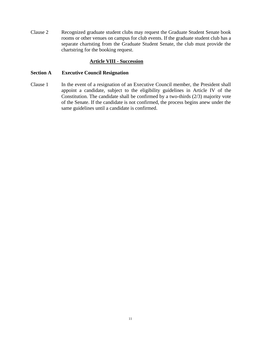Clause 2 Recognized graduate student clubs may request the Graduate Student Senate book rooms or other venues on campus for club events. If the graduate student club has a separate chartsting from the Graduate Student Senate, the club must provide the chartstring for the booking request.

# **Article VIII - Succession**

#### <span id="page-17-1"></span><span id="page-17-0"></span>**Section A Executive Council Resignation**

Clause 1 In the event of a resignation of an Executive Council member, the President shall appoint a candidate, subject to the eligibility guidelines in Article IV of the Constitution. The candidate shall be confirmed by a two-thirds (2/3) majority vote of the Senate. If the candidate is not confirmed, the process begins anew under the same guidelines until a candidate is confirmed.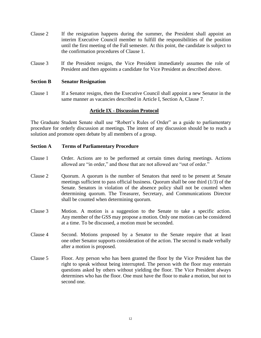- Clause 2 If the resignation happens during the summer, the President shall appoint an interim Executive Council member to fulfill the responsibilities of the position until the first meeting of the Fall semester. At this point, the candidate is subject to the confirmation procedures of Clause 1.
- Clause 3 If the President resigns, the Vice President immediately assumes the role of President and then appoints a candidate for Vice President as described above.

#### <span id="page-18-0"></span>**Section B Senator Resignation**

Clause 1 If a Senator resigns, then the Executive Council shall appoint a new Senator in the same manner as vacancies described in Article I, Section A, Clause 7.

# **Article IX - Discussion Protocol**

<span id="page-18-1"></span>The Graduate Student Senate shall use "Robert's Rules of Order" as a guide to parliamentary procedure for orderly discussion at meetings. The intent of any discussion should be to reach a solution and promote open debate by all members of a group.

#### <span id="page-18-2"></span>**Section A Terms of Parliamentary Procedure**

- Clause 1 Order. Actions are to be performed at certain times during meetings. Actions allowed are "in order," and those that are not allowed are "out of order."
- Clause 2 Quorum. A quorum is the number of Senators that need to be present at Senate meetings sufficient to pass official business. Quorum shall be one third (1/3) of the Senate. Senators in violation of the absence policy shall not be counted when determining quorum. The Treasurer, Secretary, and Communications Director shall be counted when determining quorum.
- Clause 3 Motion. A motion is a suggestion to the Senate to take a specific action. Any member of the GSS may propose a motion. Only one motion can be considered at a time. To be discussed, a motion must be seconded.
- Clause 4 Second. Motions proposed by a Senator to the Senate require that at least one other Senator supports consideration of the action. The second is made verbally after a motion is proposed.
- Clause 5 Floor. Any person who has been granted the floor by the Vice President has the right to speak without being interrupted. The person with the floor may entertain questions asked by others without yielding the floor. The Vice President always determines who has the floor. One must have the floor to make a motion, but not to second one.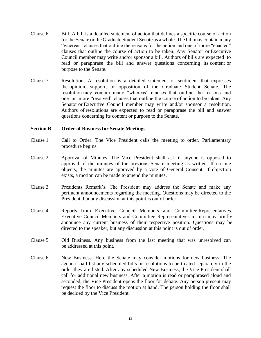- Clause 6 Bill. A bill is a detailed statement of action that defines a specific course of action for the Senate or the Graduate Student Senate as a whole. The bill may contain many "whereas" clauses that outline the reasons for the action and one of more "enacted" clauses that outline the course of action to be taken. Any Senator or Executive Council member may write and/or sponsor a bill. Authors of bills are expected to read or paraphrase the bill and answer questions concerning its content or purpose to the Senate.
- Clause 7 Resolution. A resolution is a detailed statement of sentiment that expresses the opinion, support, or opposition of the Graduate Student Senate. The resolution may contain many "whereas" clauses that outline the reasons and one or more "resolved" clauses that outline the course of action to be taken. Any Senator or Executive Council member may write and/or sponsor a resolution. Authors of resolutions are expected to read or paraphrase the bill and answer questions concerning its content or purpose to the Senate.

#### <span id="page-19-0"></span>**Section B Order of Business for Senate Meetings**

- Clause 1 Call to Order. The Vice President calls the meeting to order. Parliamentary procedure begins.
- Clause 2 Approval of Minutes. The Vice President shall ask if anyone is opposed to approval of the minutes of the previous Senate meeting as written. If no one objects, the minutes are approved by a vote of General Consent. If objection exists, a motion can be made to amend the minutes.
- Clause 3 Presidents Remark's. The President may address the Senate and make any pertinent announcements regarding the meeting. Questions may be directed to the President, but any discussion at this point is out of order.
- Clause 4 Reports from Executive Council Members and Committee Representatives. Executive Council Members and Committee Representatives in turn may briefly announce any current business of their respective position. Questions may be directed to the speaker, but any discussion at this point is out of order.
- Clause 5 Old Business. Any business from the last meeting that was unresolved can be addressed at this point.
- Clause 6 New Business. Here the Senate may consider motions for new business. The agenda shall list any scheduled bills or resolutions to be treated separately in the order they are listed. After any scheduled New Business, the Vice President shall call for additional new business. After a motion is read or paraphrased aloud and seconded, the Vice President opens the floor for debate. Any person present may request the floor to discuss the motion at hand. The person holding the floor shall be decided by the Vice President.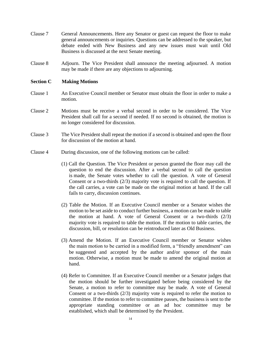- Clause 7 General Announcements. Here any Senator or guest can request the floor to make general announcements or inquiries. Questions can be addressed to the speaker, but debate ended with New Business and any new issues must wait until Old Business is discussed at the next Senate meeting.
- Clause 8 Adjourn. The Vice President shall announce the meeting adjourned. A motion may be made if there are any objections to adjourning.

# <span id="page-20-0"></span>**Section C Making Motions**

- Clause 1 An Executive Council member or Senator must obtain the floor in order to make a motion.
- Clause 2 Motions must be receive a verbal second in order to be considered. The Vice President shall call for a second if needed. If no second is obtained, the motion is no longer considered for discussion.
- Clause 3 The Vice President shall repeat the motion if a second is obtained and open the floor for discussion of the motion at hand.
- Clause 4 During discussion, one of the following motions can be called:
	- (1) Call the Question. The Vice President or person granted the floor may call the question to end the discussion. After a verbal second to call the question is made, the Senate votes whether to call the question. A vote of General Consent or a two-thirds (2/3) majority vote is required to call the question. If the call carries, a vote can be made on the original motion at hand. If the call fails to carry, discussion continues.
	- (2) Table the Motion. If an Executive Council member or a Senator wishes the motion to be set aside to conduct further business, a motion can be made to table the motion at hand. A vote of General Consent or a two-thirds (2/3) majority vote is required to table the motion. If the motion to table carries, the discussion, bill, or resolution can be reintroduced later as Old Business.
	- (3) Amend the Motion. If an Executive Council member or Senator wishes the main motion to be carried in a modified form, a "friendly amendment" can be suggested and accepted by the author and/or sponsor of the main motion. Otherwise, a motion must be made to amend the original motion at hand.
	- (4) Refer to Committee. If an Executive Council member or a Senator judges that the motion should be further investigated before being considered by the Senate, a motion to refer to committee may be made. A vote of General Consent or a two-thirds (2/3) majority vote is required to refer the motion to committee. If the motion to refer to committee passes, the business is sent to the appropriate standing committee or an ad hoc committee may be established, which shall be determined by the President.